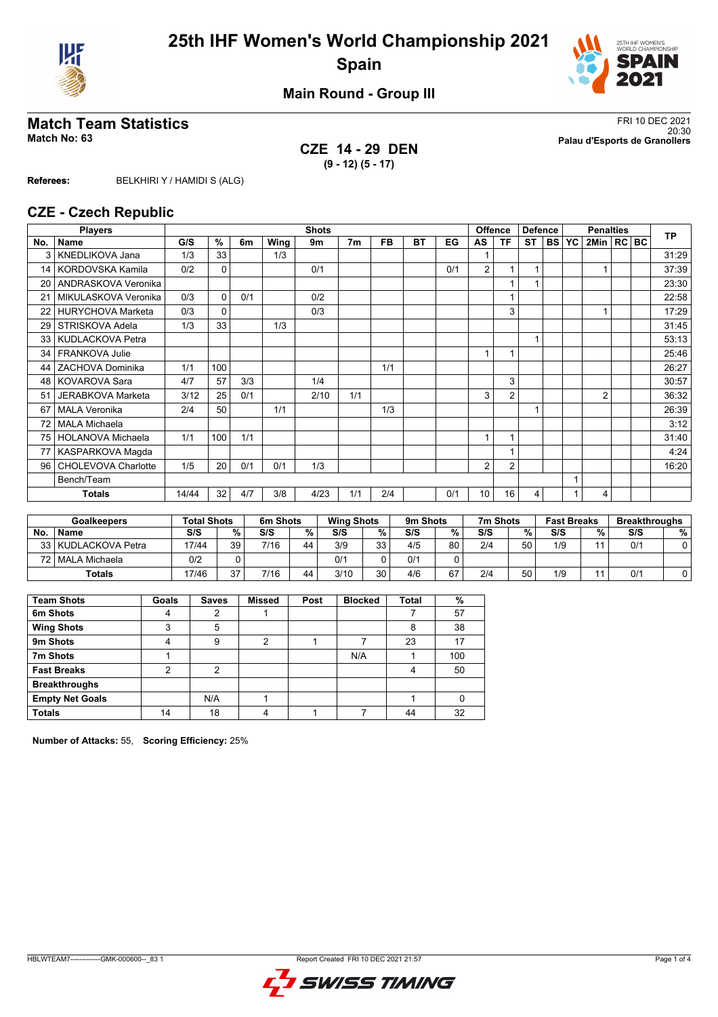



**Main Round - Group III**

## **CZE 14 - 29 DEN (9 - 12) (5 - 17)**

**Match Team Statistics** FRI 10 DEC 2021 20:30 **Match No: 63 Palau d'Esports de Granollers**

**Referees:** BELKHIRI Y / HAMIDI S (ALG)

#### **CZE - Czech Republic**

|                 | <b>Players</b>           |       | <b>Shots</b> |     |      |      |                |           |           |     |                          | <b>Offence</b><br><b>Defence</b> |           | <b>Penalties</b> |                |  |  | <b>TP</b> |
|-----------------|--------------------------|-------|--------------|-----|------|------|----------------|-----------|-----------|-----|--------------------------|----------------------------------|-----------|------------------|----------------|--|--|-----------|
| No.             | <b>Name</b>              | G/S   | %            | 6m  | Wing | 9m   | 7 <sub>m</sub> | <b>FB</b> | <b>BT</b> | EG  | AS                       | ΤF                               | <b>ST</b> | <b>BS YC</b>     | 2Min   RC   BC |  |  |           |
| 3               | KNEDLIKOVA Jana          | 1/3   | 33           |     | 1/3  |      |                |           |           |     |                          |                                  |           |                  |                |  |  | 31:29     |
|                 | 14   KORDOVSKA Kamila    | 0/2   | $\mathbf 0$  |     |      | 0/1  |                |           |           | 0/1 | 2                        |                                  |           |                  |                |  |  | 37:39     |
| 20 <sub>1</sub> | ANDRASKOVA Veronika      |       |              |     |      |      |                |           |           |     |                          |                                  |           |                  |                |  |  | 23:30     |
| 21              | MIKULASKOVA Veronika     | 0/3   | $\Omega$     | 0/1 |      | 0/2  |                |           |           |     |                          |                                  |           |                  |                |  |  | 22:58     |
| 22              | <b>HURYCHOVA Marketa</b> | 0/3   | $\mathbf{0}$ |     |      | 0/3  |                |           |           |     |                          | 3                                |           |                  |                |  |  | 17:29     |
| 29              | STRISKOVA Adela          | 1/3   | 33           |     | 1/3  |      |                |           |           |     |                          |                                  |           |                  |                |  |  | 31:45     |
|                 | 33 KUDLACKOVA Petra      |       |              |     |      |      |                |           |           |     |                          |                                  |           |                  |                |  |  | 53:13     |
| 34              | <b>FRANKOVA Julie</b>    |       |              |     |      |      |                |           |           |     | $\overline{\phantom{a}}$ |                                  |           |                  |                |  |  | 25:46     |
| 44              | ZACHOVA Dominika         | 1/1   | 100          |     |      |      |                | 1/1       |           |     |                          |                                  |           |                  |                |  |  | 26:27     |
| 48 I            | <b>KOVAROVA Sara</b>     | 4/7   | 57           | 3/3 |      | 1/4  |                |           |           |     |                          | 3                                |           |                  |                |  |  | 30:57     |
| 51              | <b>JERABKOVA Marketa</b> | 3/12  | 25           | 0/1 |      | 2/10 | 1/1            |           |           |     | 3                        | $\overline{2}$                   |           |                  | $\overline{2}$ |  |  | 36:32     |
| 67              | <b>MALA Veronika</b>     | 2/4   | 50           |     | 1/1  |      |                | 1/3       |           |     |                          |                                  | 1         |                  |                |  |  | 26:39     |
| 72              | <b>MALA Michaela</b>     |       |              |     |      |      |                |           |           |     |                          |                                  |           |                  |                |  |  | 3:12      |
| 75              | <b>HOLANOVA Michaela</b> | 1/1   | 100          | 1/1 |      |      |                |           |           |     |                          |                                  |           |                  |                |  |  | 31:40     |
| 77              | KASPARKOVA Magda         |       |              |     |      |      |                |           |           |     |                          |                                  |           |                  |                |  |  | 4:24      |
| 96 <sup>1</sup> | CHOLEVOVA Charlotte      | 1/5   | 20           | 0/1 | 0/1  | 1/3  |                |           |           |     | 2                        | 2                                |           |                  |                |  |  | 16:20     |
|                 | Bench/Team               |       |              |     |      |      |                |           |           |     |                          |                                  |           |                  |                |  |  |           |
|                 | <b>Totals</b>            | 14/44 | 32           | 4/7 | 3/8  | 4/23 | 1/1            | 2/4       |           | 0/1 | 10                       | 16                               | 4         |                  | 4              |  |  |           |

|           | <b>Total Shots</b><br><b>Goalkeepers</b> |       |    | 6m Shots |    | <b>Wing Shots</b> |    | 9m Shots |    | 7m Shots |    | <b>Fast Breaks</b> |   | <b>Breakthroughs</b> |   |
|-----------|------------------------------------------|-------|----|----------|----|-------------------|----|----------|----|----------|----|--------------------|---|----------------------|---|
| <b>No</b> | <b>Name</b>                              | S/S   | %  | S/S      | %  | S/S               | %  | S/S      | %  | S/S      | %  | S/S                | % | S/S                  | % |
|           | 33 KUDLACKOVA Petra                      | 17/44 | 39 | 7/16     | 44 | 3/9               | 33 | 4/5      | 80 | 2/4      | 50 | 1/9                |   | 0/1                  |   |
|           | 72   MALA Michaela                       | 0/2   |    |          |    | 0/1               |    | 0/1      |    |          |    |                    |   |                      |   |
|           | Totals                                   | 17/46 | 27 | 7/16     | 44 | 3/10              | 30 | 4/6      | 67 | 2/4      | 50 | 1/9                |   | 0'                   |   |

| <b>Team Shots</b>      | Goals | <b>Saves</b> | <b>Missed</b> | Post | <b>Blocked</b> | <b>Total</b> | %   |
|------------------------|-------|--------------|---------------|------|----------------|--------------|-----|
| 6m Shots               | 4     | 2            |               |      |                |              | 57  |
| <b>Wing Shots</b>      | 3     | 5            |               |      |                | 8            | 38  |
| 9m Shots               | 4     | 9            | 2             |      |                | 23           | 17  |
| 7m Shots               |       |              |               |      | N/A            |              | 100 |
| <b>Fast Breaks</b>     | 2     | 2            |               |      |                | 4            | 50  |
| <b>Breakthroughs</b>   |       |              |               |      |                |              |     |
| <b>Empty Net Goals</b> |       | N/A          |               |      |                |              |     |
| <b>Totals</b>          | 14    | 18           | 4             |      |                | 44           | 32  |

**Number of Attacks:** 55, **Scoring Efficiency:** 25%

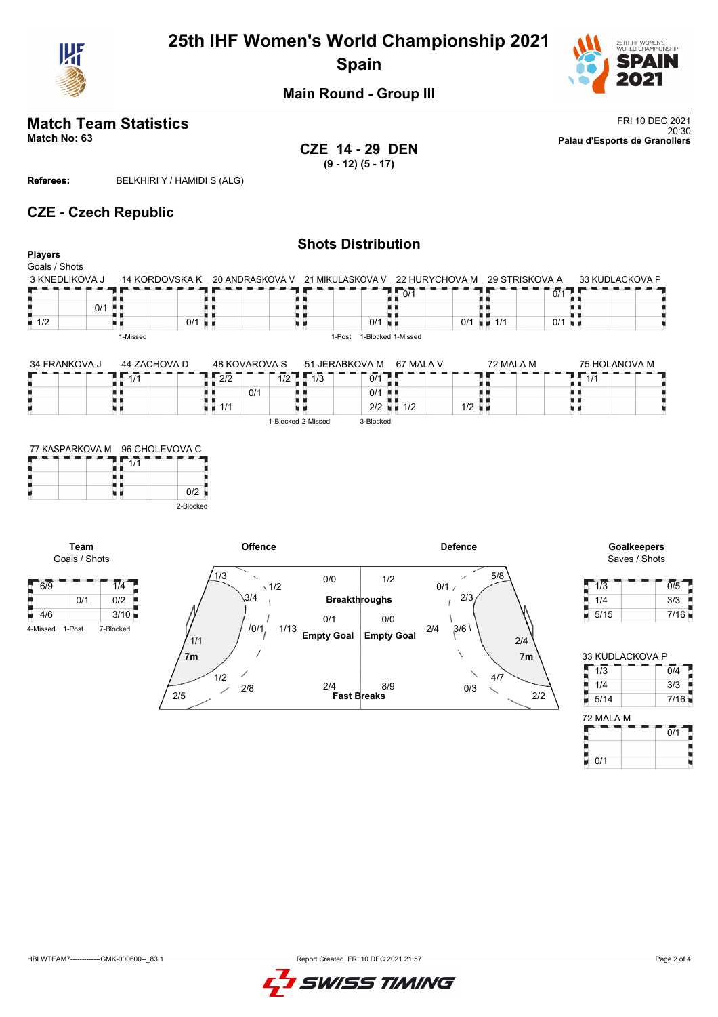

# **25th IHF Women's World Championship 2021 Spain**



**Main Round - Group III**

# **Match Team Statistics** FRI 10 DEC 2021

**CZE 14 - 29 DEN (9 - 12) (5 - 17)**

20:30 **Match No: 63 Palau d'Esports de Granollers**

**Referees:** BELKHIRI Y / HAMIDI S (ALG)

## **CZE - Czech Republic**

| <b>Players</b>     |                 |                  |                      |                                   |                 |                    | <b>Shots Distribution</b> |                  |                          |                      |                          |               |     |                 |
|--------------------|-----------------|------------------|----------------------|-----------------------------------|-----------------|--------------------|---------------------------|------------------|--------------------------|----------------------|--------------------------|---------------|-----|-----------------|
| Goals / Shots      |                 |                  |                      |                                   |                 |                    |                           |                  |                          |                      |                          |               |     |                 |
|                    |                 |                  |                      |                                   |                 |                    |                           |                  |                          |                      |                          |               |     |                 |
|                    | 3 KNEDLIKOVA J  | 14 KORDOVSKA K   |                      |                                   | 20 ANDRASKOVA V |                    | 21 MIKULASKOVA V          |                  | 22 HURYCHOVA M           |                      | 29 STRISKOVA A           |               |     | 33 KUDLACKOVA P |
|                    |                 |                  |                      |                                   |                 |                    |                           |                  | 0/1                      |                      |                          | 0/1           |     |                 |
| π.                 | 0/1             |                  |                      |                                   |                 |                    |                           |                  |                          |                      |                          |               |     |                 |
| $\blacksquare$ 1/2 |                 |                  | $0/1$ $\blacksquare$ |                                   |                 | н                  |                           | 0/1              | $\mathbf{u}$             |                      | $0/1$ $\blacksquare$ 1/1 | 0/1<br>. H. M |     |                 |
|                    |                 | 1-Missed         |                      |                                   |                 |                    | 1-Post                    |                  | 1-Blocked 1-Missed       |                      |                          |               |     |                 |
|                    |                 |                  |                      |                                   |                 |                    |                           |                  |                          |                      |                          |               |     |                 |
| 34 FRANKOVA J      |                 | 44 ZACHOVA D     |                      |                                   | 48 KOVAROVA S   |                    | 51 JERABKOVA M            |                  | 67 MALA V                |                      | 72 MALA M                |               |     | 75 HOLANOVA M   |
|                    |                 | $\overline{1/1}$ |                      | $\sqrt{2/2}$                      |                 | $1/2$ $1/3$        |                           | $\overline{0/1}$ |                          |                      |                          |               | 1/1 |                 |
|                    |                 |                  |                      |                                   | 0/1             |                    |                           | 0/1              | . .                      |                      |                          |               |     |                 |
|                    | u 1             |                  |                      | $\blacksquare$ $\blacksquare$ 1/1 |                 | 7 T                |                           |                  | $2/2$ $\blacksquare$ 1/2 | $1/2$ $\blacksquare$ |                          | u             |     |                 |
|                    |                 |                  |                      |                                   |                 | 1-Blocked 2-Missed |                           | 3-Blocked        |                          |                      |                          |               |     |                 |
|                    |                 |                  |                      |                                   |                 |                    |                           |                  |                          |                      |                          |               |     |                 |
|                    |                 |                  |                      |                                   |                 |                    |                           |                  |                          |                      |                          |               |     |                 |
|                    | 77 KASPARKOVA M | 96 CHOLEVOVA C   |                      |                                   |                 |                    |                           |                  |                          |                      |                          |               |     |                 |
|                    |                 | $\sqrt{2}$ 1/1   |                      |                                   |                 |                    |                           |                  |                          |                      |                          |               |     |                 |

|           |     | 77 NASPARNOVA MI 96 CHOLEVOVA C |  |  |  |  |  |
|-----------|-----|---------------------------------|--|--|--|--|--|
|           | 1/1 |                                 |  |  |  |  |  |
|           |     |                                 |  |  |  |  |  |
| 0/2       |     |                                 |  |  |  |  |  |
|           |     |                                 |  |  |  |  |  |
| 2-Blocked |     |                                 |  |  |  |  |  |



Saves / Shots

| 1/3  | 0/5  |
|------|------|
| 1/4  | 3/3  |
| 5/15 | 7/16 |

| 33 KUDLACKOVA P |      |
|-----------------|------|
| 1/3             | 0/4  |
| 1/4             | 3/3  |
| 5/14            | 7/16 |
| 72 MALA M       |      |
|                 | 0/1  |
|                 |      |
| 0/1             |      |

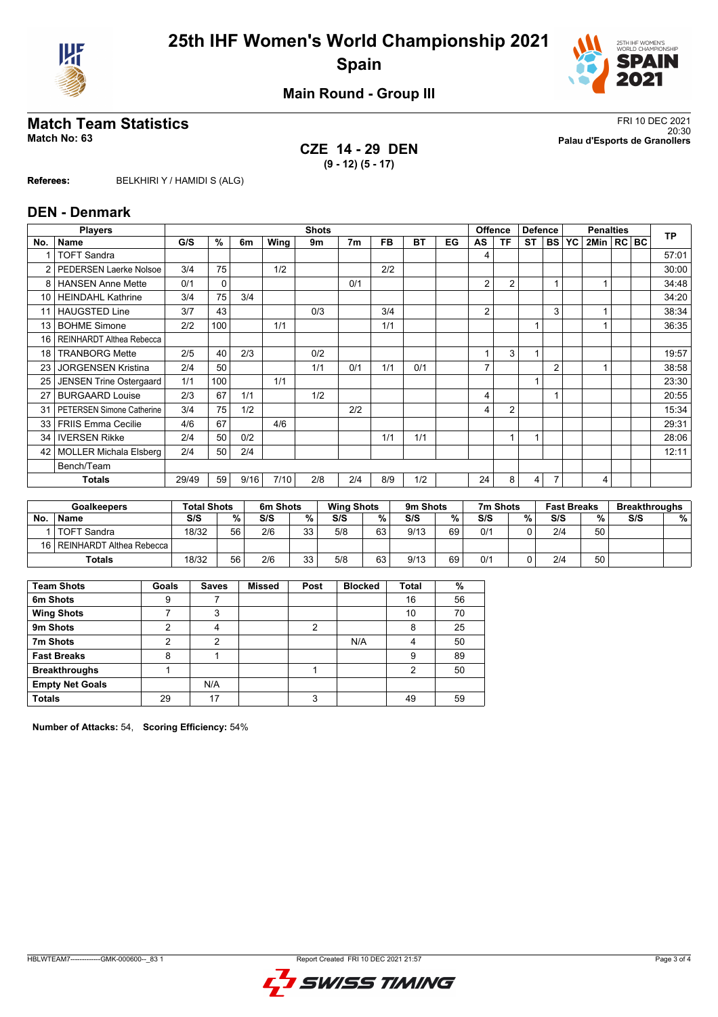



**Main Round - Group III**

## **CZE 14 - 29 DEN (9 - 12) (5 - 17)**

**Match Team Statistics** FRI 10 DEC 2021 20:30 **Match No: 63 Palau d'Esports de Granollers**

**Referees:** BELKHIRI Y / HAMIDI S (ALG)

#### **DEN - Denmark**

|               | <b>Players</b>                   |       | <b>Shots</b> |      |      |     |                |           |           |    |                |                | <b>Offence</b><br><b>Defence</b> |                | <b>Penalties</b> |                |  |  | <b>TP</b> |
|---------------|----------------------------------|-------|--------------|------|------|-----|----------------|-----------|-----------|----|----------------|----------------|----------------------------------|----------------|------------------|----------------|--|--|-----------|
| No.           | Name                             | G/S   | %            | 6m   | Wing | 9m  | 7 <sub>m</sub> | <b>FB</b> | <b>BT</b> | EG | AS             | <b>TF</b>      | $ST$ $ BS $                      |                | <b>YC</b>        | 2Min   RC   BC |  |  |           |
|               | <b>TOFT Sandra</b>               |       |              |      |      |     |                |           |           |    | 4              |                |                                  |                |                  |                |  |  | 57:01     |
| $\mathcal{P}$ | <b>PEDERSEN Laerke Nolsoe</b>    | 3/4   | 75           |      | 1/2  |     |                | 2/2       |           |    |                |                |                                  |                |                  |                |  |  | 30:00     |
| 8             | <b>HANSEN Anne Mette</b>         | 0/1   | 0            |      |      |     | 0/1            |           |           |    | 2              | $\overline{2}$ |                                  | 1              |                  |                |  |  | 34:48     |
| 10            | <b>HEINDAHL Kathrine</b>         | 3/4   | 75           | 3/4  |      |     |                |           |           |    |                |                |                                  |                |                  |                |  |  | 34:20     |
|               | <b>HAUGSTED Line</b>             | 3/7   | 43           |      |      | 0/3 |                | 3/4       |           |    | $\overline{2}$ |                |                                  | 3              |                  |                |  |  | 38:34     |
| 13            | <b>BOHME Simone</b>              | 2/2   | 100          |      | 1/1  |     |                | 1/1       |           |    |                |                | 1                                |                |                  |                |  |  | 36:35     |
| 16            | REINHARDT Althea Rebecca         |       |              |      |      |     |                |           |           |    |                |                |                                  |                |                  |                |  |  |           |
| 18            | <b>TRANBORG Mette</b>            | 2/5   | 40           | 2/3  |      | 0/2 |                |           |           |    |                | 3              | 1                                |                |                  |                |  |  | 19:57     |
| 23            | <b>JORGENSEN Kristina</b>        | 2/4   | 50           |      |      | 1/1 | 0/1            | 1/1       | 0/1       |    |                |                |                                  | $\overline{2}$ |                  |                |  |  | 38:58     |
| 25            | <b>JENSEN Trine Ostergaard</b>   | 1/1   | 100          |      | 1/1  |     |                |           |           |    |                |                | $\overline{ }$                   |                |                  |                |  |  | 23:30     |
| 27            | <b>BURGAARD Louise</b>           | 2/3   | 67           | 1/1  |      | 1/2 |                |           |           |    | 4              |                |                                  |                |                  |                |  |  | 20:55     |
| 31            | <b>PETERSEN Simone Catherine</b> | 3/4   | 75           | 1/2  |      |     | 2/2            |           |           |    | 4              | 2              |                                  |                |                  |                |  |  | 15:34     |
| 33            | <b>FRIIS Emma Cecilie</b>        | 4/6   | 67           |      | 4/6  |     |                |           |           |    |                |                |                                  |                |                  |                |  |  | 29:31     |
| 34            | <b>IVERSEN Rikke</b>             | 2/4   | 50           | 0/2  |      |     |                | 1/1       | 1/1       |    |                | 1              | $\overline{ }$                   |                |                  |                |  |  | 28:06     |
| 42            | <b>MOLLER Michala Elsberg</b>    | 2/4   | 50           | 2/4  |      |     |                |           |           |    |                |                |                                  |                |                  |                |  |  | 12:11     |
|               | Bench/Team                       |       |              |      |      |     |                |           |           |    |                |                |                                  |                |                  |                |  |  |           |
|               | Totals                           | 29/49 | 59           | 9/16 | 7/10 | 2/8 | 2/4            | 8/9       | 1/2       |    | 24             | 8              | $\overline{4}$                   | $\overline{7}$ |                  | 4              |  |  |           |
|               |                                  |       |              |      |      |     |                |           |           |    |                |                |                                  |                |                  |                |  |  |           |

|           | <b>Goalkeepers</b>            |       | <b>Total Shots</b> |     | 6m Shots |     | <b>Wing Shots</b> |      | 9m Shots |     | 7m Shots | <b>Fast Breaks</b> |    | <b>Breakthroughs</b> |   |
|-----------|-------------------------------|-------|--------------------|-----|----------|-----|-------------------|------|----------|-----|----------|--------------------|----|----------------------|---|
| <b>No</b> | <b>Name</b>                   | S/S   | $\%$               | S/S | %        | S/S | %                 | S/S  | %        | S/S | %        | S/S                | %  | S/S                  | % |
|           | <b>TOFT Sandra</b>            | 18/32 | 56                 | 2/6 | 33<br>vu | 5/8 | 63                | 9/13 | 69       | 0/1 |          | 2/4                | 50 |                      |   |
|           | 16   REINHARDT Althea Rebecca |       |                    |     |          |     |                   |      |          |     |          |                    |    |                      |   |
|           | <b>Totals</b>                 | 18/32 | 56                 | 2/6 | っっ<br>υu | 5/8 | 63                | 9/13 | 69       | 0/1 |          | 2/4                | 50 |                      |   |

| <b>Team Shots</b>      | Goals | <b>Saves</b> | <b>Missed</b> | Post | <b>Blocked</b> | <b>Total</b> | %  |
|------------------------|-------|--------------|---------------|------|----------------|--------------|----|
| 6m Shots               | 9     |              |               |      |                | 16           | 56 |
| <b>Wing Shots</b>      |       | 3            |               |      |                | 10           | 70 |
| 9m Shots               | າ     | 4            |               | 2    |                | 8            | 25 |
| 7m Shots               | ົ     | 2            |               |      | N/A            | 4            | 50 |
| <b>Fast Breaks</b>     | 8     |              |               |      |                | 9            | 89 |
| <b>Breakthroughs</b>   |       |              |               |      |                | 2            | 50 |
| <b>Empty Net Goals</b> |       | N/A          |               |      |                |              |    |
| <b>Totals</b>          | 29    | 17           |               | 3    |                | 49           | 59 |

**Number of Attacks:** 54, **Scoring Efficiency:** 54%